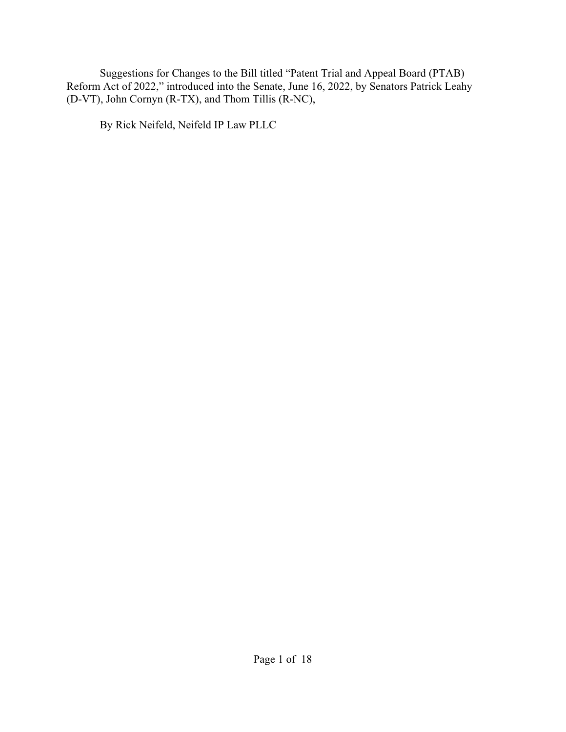Suggestions for Changes to the Bill titled "Patent Trial and Appeal Board (PTAB) Reform Act of 2022," introduced into the Senate, June 16, 2022, by Senators Patrick Leahy (D-VT), John Cornyn (R-TX), and Thom Tillis (R-NC),

By Rick Neifeld, Neifeld IP Law PLLC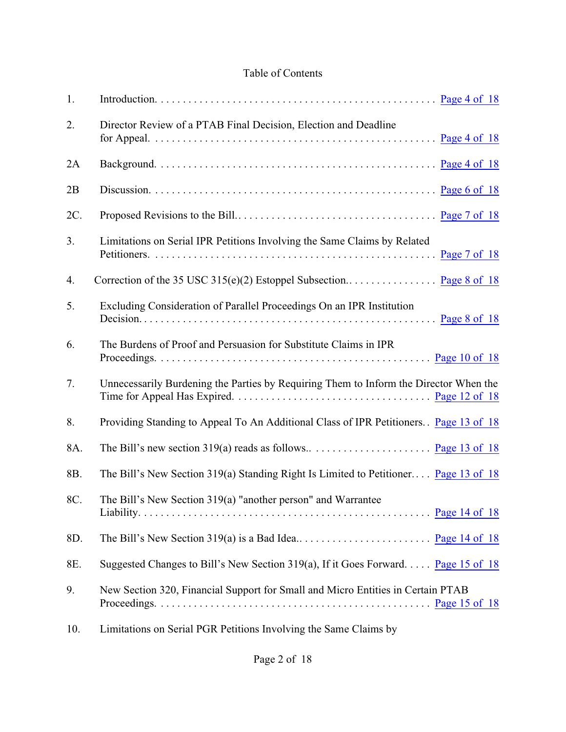### Table of Contents

| 1.  |                                                                                       |
|-----|---------------------------------------------------------------------------------------|
| 2.  | Director Review of a PTAB Final Decision, Election and Deadline                       |
| 2A  |                                                                                       |
| 2B  |                                                                                       |
| 2C. |                                                                                       |
| 3.  | Limitations on Serial IPR Petitions Involving the Same Claims by Related              |
| 4.  |                                                                                       |
| 5.  | Excluding Consideration of Parallel Proceedings On an IPR Institution                 |
| 6.  | The Burdens of Proof and Persuasion for Substitute Claims in IPR                      |
| 7.  | Unnecessarily Burdening the Parties by Requiring Them to Inform the Director When the |
| 8.  | Providing Standing to Appeal To An Additional Class of IPR Petitioners Page 13 of 18  |
| 8A. |                                                                                       |
| 8B. | The Bill's New Section 319(a) Standing Right Is Limited to Petitioner Page 13 of 18   |
| 8C. | The Bill's New Section 319(a) "another person" and Warrantee                          |
| 8D. |                                                                                       |
| 8E. | Suggested Changes to Bill's New Section 319(a), If it Goes Forward Page 15 of 18      |
| 9.  | New Section 320, Financial Support for Small and Micro Entities in Certain PTAB       |
|     |                                                                                       |

10. Limitations on Serial PGR Petitions Involving the Same Claims by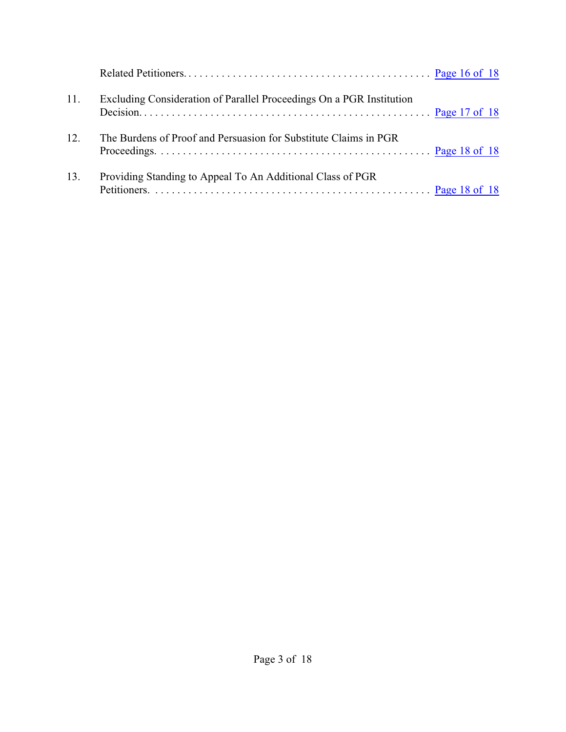| 11. | Excluding Consideration of Parallel Proceedings On a PGR Institution |  |
|-----|----------------------------------------------------------------------|--|
| 12. | The Burdens of Proof and Persuasion for Substitute Claims in PGR     |  |
| 13. | Providing Standing to Appeal To An Additional Class of PGR           |  |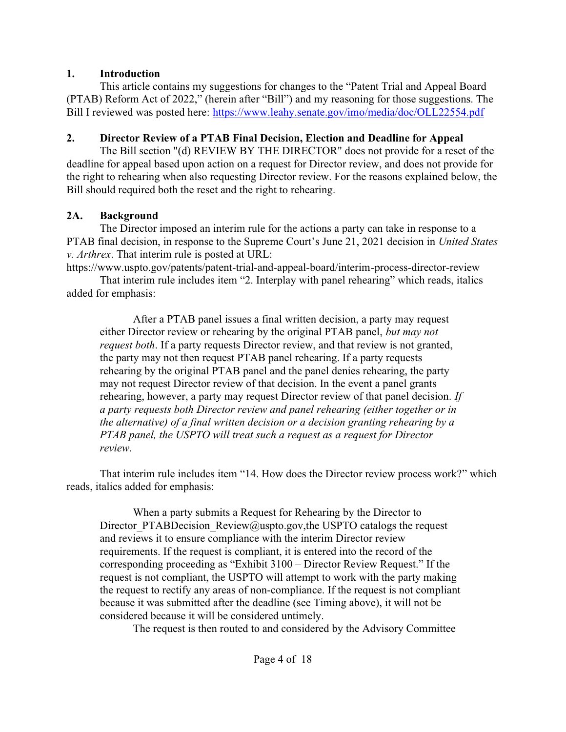### **1. Introduction**

This article contains my suggestions for changes to the "Patent Trial and Appeal Board (PTAB) Reform Act of 2022," (herein after "Bill") and my reasoning for those suggestions. The Bill I reviewed was posted here: <https://www.leahy.senate.gov/imo/media/doc/OLL22554.pdf>

## <span id="page-3-0"></span>**2. Director Review of a PTAB Final Decision, Election and Deadline for Appeal**

The Bill section "(d) REVIEW BY THE DIRECTOR" does not provide for a reset of the deadline for appeal based upon action on a request for Director review, and does not provide for the right to rehearing when also requesting Director review. For the reasons explained below, the Bill should required both the reset and the right to rehearing.

## <span id="page-3-1"></span>**2A. Background**

The Director imposed an interim rule for the actions a party can take in response to a PTAB final decision, in response to the Supreme Court's June 21, 2021 decision in *United States v. Arthrex*. That interim rule is posted at URL:

https://www.uspto.gov/patents/patent-trial-and-appeal-board/interim-process-director-review

That interim rule includes item "2. Interplay with panel rehearing" which reads, italics added for emphasis:

After a PTAB panel issues a final written decision, a party may request either Director review or rehearing by the original PTAB panel, *but may not request both*. If a party requests Director review, and that review is not granted, the party may not then request PTAB panel rehearing. If a party requests rehearing by the original PTAB panel and the panel denies rehearing, the party may not request Director review of that decision. In the event a panel grants rehearing, however, a party may request Director review of that panel decision. *If a party requests both Director review and panel rehearing (either together or in the alternative) of a final written decision or a decision granting rehearing by a PTAB panel, the USPTO will treat such a request as a request for Director review*.

That interim rule includes item "14. How does the Director review process work?" which reads, italics added for emphasis:

When a party submits a Request for Rehearing by the Director to Director PTABDecision Review@uspto.gov,the USPTO catalogs the request and reviews it to ensure compliance with the interim Director review requirements. If the request is compliant, it is entered into the record of the corresponding proceeding as "Exhibit 3100 – Director Review Request." If the request is not compliant, the USPTO will attempt to work with the party making the request to rectify any areas of non-compliance. If the request is not compliant because it was submitted after the deadline (see Timing above), it will not be considered because it will be considered untimely.

The request is then routed to and considered by the Advisory Committee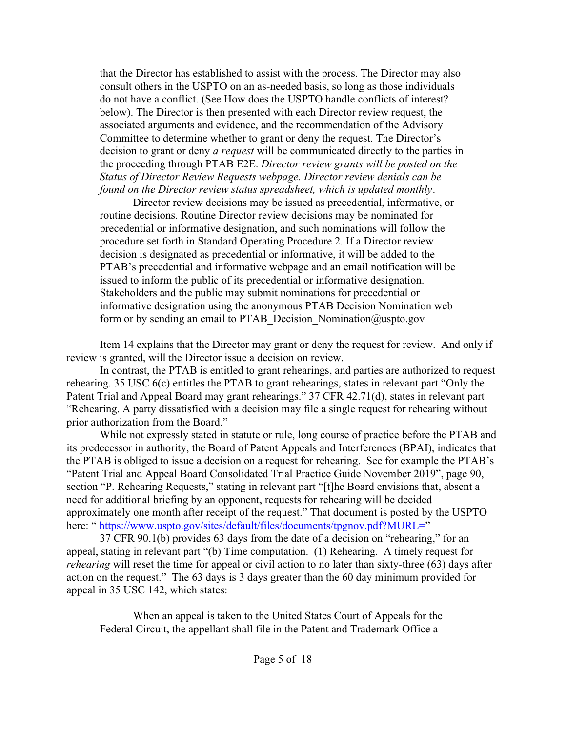that the Director has established to assist with the process. The Director may also consult others in the USPTO on an as-needed basis, so long as those individuals do not have a conflict. (See How does the USPTO handle conflicts of interest? below). The Director is then presented with each Director review request, the associated arguments and evidence, and the recommendation of the Advisory Committee to determine whether to grant or deny the request. The Director's decision to grant or deny *a request* will be communicated directly to the parties in the proceeding through PTAB E2E. *Director review grants will be posted on the Status of Director Review Requests webpage. Director review denials can be found on the Director review status spreadsheet, which is updated monthly*.

Director review decisions may be issued as precedential, informative, or routine decisions. Routine Director review decisions may be nominated for precedential or informative designation, and such nominations will follow the procedure set forth in Standard Operating Procedure 2. If a Director review decision is designated as precedential or informative, it will be added to the PTAB's precedential and informative webpage and an email notification will be issued to inform the public of its precedential or informative designation. Stakeholders and the public may submit nominations for precedential or informative designation using the anonymous PTAB Decision Nomination web form or by sending an email to PTAB\_Decision\_Nomination@uspto.gov

Item 14 explains that the Director may grant or deny the request for review. And only if review is granted, will the Director issue a decision on review.

In contrast, the PTAB is entitled to grant rehearings, and parties are authorized to request rehearing. 35 USC 6(c) entitles the PTAB to grant rehearings, states in relevant part "Only the Patent Trial and Appeal Board may grant rehearings." 37 CFR 42.71(d), states in relevant part "Rehearing. A party dissatisfied with a decision may file a single request for rehearing without prior authorization from the Board."

While not expressly stated in statute or rule, long course of practice before the PTAB and its predecessor in authority, the Board of Patent Appeals and Interferences (BPAI), indicates that the PTAB is obliged to issue a decision on a request for rehearing. See for example the PTAB's "Patent Trial and Appeal Board Consolidated Trial Practice Guide November 2019", page 90, section "P. Rehearing Requests," stating in relevant part "[t]he Board envisions that, absent a need for additional briefing by an opponent, requests for rehearing will be decided approximately one month after receipt of the request." That document is posted by the USPTO here: "<https://www.uspto.gov/sites/default/files/documents/tpgnov.pdf?MURL=>"

37 CFR 90.1(b) provides 63 days from the date of a decision on "rehearing," for an appeal, stating in relevant part "(b) Time computation. (1) Rehearing. A timely request for *rehearing* will reset the time for appeal or civil action to no later than sixty-three (63) days after action on the request." The 63 days is 3 days greater than the 60 day minimum provided for appeal in 35 USC 142, which states:

When an appeal is taken to the United States Court of Appeals for the Federal Circuit, the appellant shall file in the Patent and Trademark Office a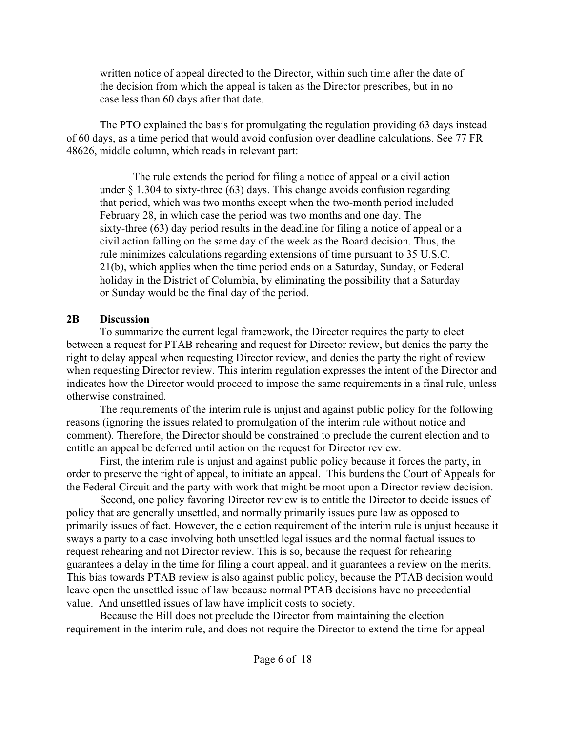written notice of appeal directed to the Director, within such time after the date of the decision from which the appeal is taken as the Director prescribes, but in no case less than 60 days after that date.

The PTO explained the basis for promulgating the regulation providing 63 days instead of 60 days, as a time period that would avoid confusion over deadline calculations. See 77 FR 48626, middle column, which reads in relevant part:

The rule extends the period for filing a notice of appeal or a civil action under  $\S$  1.304 to sixty-three (63) days. This change avoids confusion regarding that period, which was two months except when the two-month period included February 28, in which case the period was two months and one day. The sixty-three (63) day period results in the deadline for filing a notice of appeal or a civil action falling on the same day of the week as the Board decision. Thus, the rule minimizes calculations regarding extensions of time pursuant to 35 U.S.C. 21(b), which applies when the time period ends on a Saturday, Sunday, or Federal holiday in the District of Columbia, by eliminating the possibility that a Saturday or Sunday would be the final day of the period.

### <span id="page-5-0"></span>**2B Discussion**

To summarize the current legal framework, the Director requires the party to elect between a request for PTAB rehearing and request for Director review, but denies the party the right to delay appeal when requesting Director review, and denies the party the right of review when requesting Director review. This interim regulation expresses the intent of the Director and indicates how the Director would proceed to impose the same requirements in a final rule, unless otherwise constrained.

The requirements of the interim rule is unjust and against public policy for the following reasons (ignoring the issues related to promulgation of the interim rule without notice and comment). Therefore, the Director should be constrained to preclude the current election and to entitle an appeal be deferred until action on the request for Director review.

First, the interim rule is unjust and against public policy because it forces the party, in order to preserve the right of appeal, to initiate an appeal. This burdens the Court of Appeals for the Federal Circuit and the party with work that might be moot upon a Director review decision.

Second, one policy favoring Director review is to entitle the Director to decide issues of policy that are generally unsettled, and normally primarily issues pure law as opposed to primarily issues of fact. However, the election requirement of the interim rule is unjust because it sways a party to a case involving both unsettled legal issues and the normal factual issues to request rehearing and not Director review. This is so, because the request for rehearing guarantees a delay in the time for filing a court appeal, and it guarantees a review on the merits. This bias towards PTAB review is also against public policy, because the PTAB decision would leave open the unsettled issue of law because normal PTAB decisions have no precedential value. And unsettled issues of law have implicit costs to society.

Because the Bill does not preclude the Director from maintaining the election requirement in the interim rule, and does not require the Director to extend the time for appeal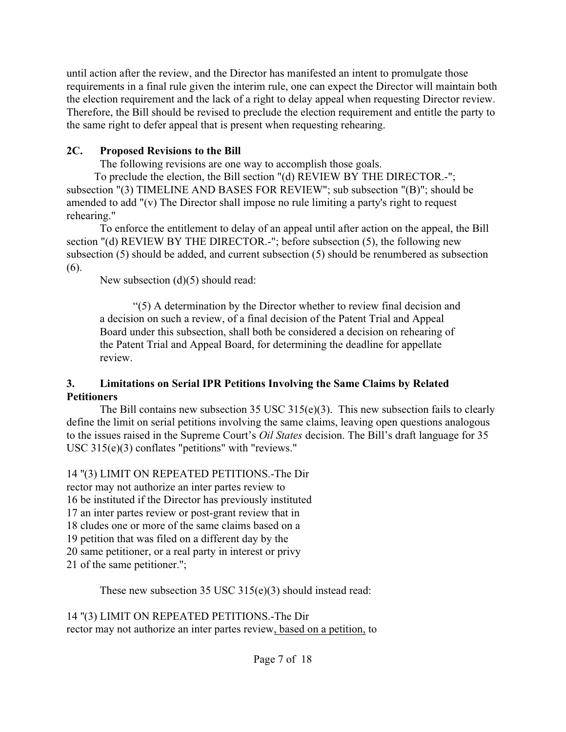until action after the review, and the Director has manifested an intent to promulgate those requirements in a final rule given the interim rule, one can expect the Director will maintain both the election requirement and the lack of a right to delay appeal when requesting Director review. Therefore, the Bill should be revised to preclude the election requirement and entitle the party to the same right to defer appeal that is present when requesting rehearing.

### <span id="page-6-0"></span>**2C. Proposed Revisions to the Bill**

The following revisions are one way to accomplish those goals.

 To preclude the election, the Bill section "(d) REVIEW BY THE DIRECTOR.-"; subsection "(3) TIMELINE AND BASES FOR REVIEW"; sub subsection "(B)"; should be amended to add "(v) The Director shall impose no rule limiting a party's right to request rehearing."

To enforce the entitlement to delay of an appeal until after action on the appeal, the Bill section "(d) REVIEW BY THE DIRECTOR.-"; before subsection (5), the following new subsection (5) should be added, and current subsection (5) should be renumbered as subsection (6).

New subsection (d)(5) should read:

"(5) A determination by the Director whether to review final decision and a decision on such a review, of a final decision of the Patent Trial and Appeal Board under this subsection, shall both be considered a decision on rehearing of the Patent Trial and Appeal Board, for determining the deadline for appellate review.

### <span id="page-6-1"></span>**3. Limitations on Serial IPR Petitions Involving the Same Claims by Related Petitioners**

The Bill contains new subsection 35 USC 315(e)(3). This new subsection fails to clearly define the limit on serial petitions involving the same claims, leaving open questions analogous to the issues raised in the Supreme Court's *Oil States* decision. The Bill's draft language for 35 USC 315(e)(3) conflates "petitions" with "reviews."

## 14 ''(3) LIMIT ON REPEATED PETITIONS.-The Dir

rector may not authorize an inter partes review to 16 be instituted if the Director has previously instituted 17 an inter partes review or post-grant review that in 18 cludes one or more of the same claims based on a 19 petition that was filed on a different day by the 20 same petitioner, or a real party in interest or privy 21 of the same petitioner.'';

These new subsection 35 USC 315(e)(3) should instead read:

14 ''(3) LIMIT ON REPEATED PETITIONS.-The Dir rector may not authorize an inter partes review, based on a petition, to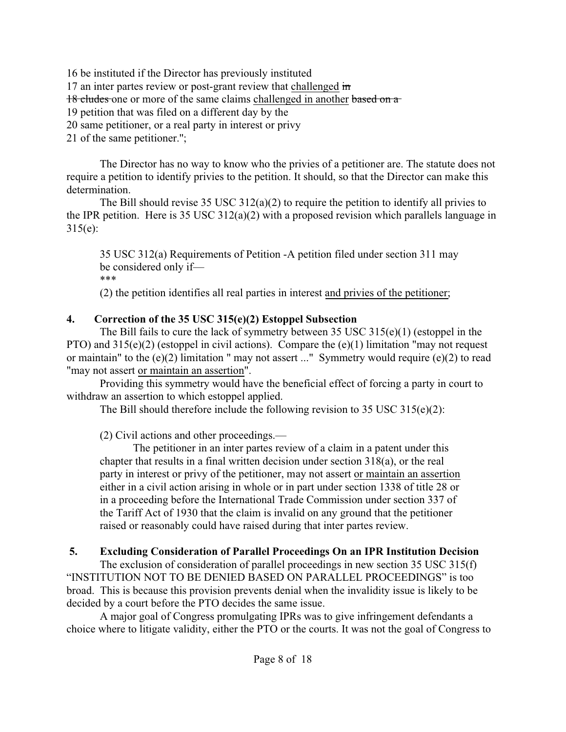16 be instituted if the Director has previously instituted 17 an inter partes review or post-grant review that challenged in 18 cludes one or more of the same claims challenged in another based on a 19 petition that was filed on a different day by the 20 same petitioner, or a real party in interest or privy 21 of the same petitioner.'';

The Director has no way to know who the privies of a petitioner are. The statute does not require a petition to identify privies to the petition. It should, so that the Director can make this determination.

The Bill should revise 35 USC 312(a)(2) to require the petition to identify all privies to the IPR petition. Here is 35 USC 312(a)(2) with a proposed revision which parallels language in 315(e):

35 USC 312(a) Requirements of Petition -A petition filed under section 311 may be considered only if— \*\*\*

(2) the petition identifies all real parties in interest and privies of the petitioner;

# <span id="page-7-0"></span>**4. Correction of the 35 USC 315(e)(2) Estoppel Subsection**

The Bill fails to cure the lack of symmetry between 35 USC 315(e)(1) (estoppel in the PTO) and 315(e)(2) (estoppel in civil actions). Compare the (e)(1) limitation "may not request or maintain" to the (e)(2) limitation " may not assert ..." Symmetry would require (e)(2) to read "may not assert or maintain an assertion".

Providing this symmetry would have the beneficial effect of forcing a party in court to withdraw an assertion to which estoppel applied.

The Bill should therefore include the following revision to 35 USC 315(e)(2):

(2) Civil actions and other proceedings.—

The petitioner in an inter partes review of a claim in a patent under this chapter that results in a final written decision under section 318(a), or the real party in interest or privy of the petitioner, may not assert or maintain an assertion either in a civil action arising in whole or in part under section 1338 of title 28 or in a proceeding before the International Trade Commission under section 337 of the Tariff Act of 1930 that the claim is invalid on any ground that the petitioner raised or reasonably could have raised during that inter partes review.

# <span id="page-7-1"></span>**5. Excluding Consideration of Parallel Proceedings On an IPR Institution Decision**

The exclusion of consideration of parallel proceedings in new section 35 USC 315(f) "INSTITUTION NOT TO BE DENIED BASED ON PARALLEL PROCEEDINGS" is too broad. This is because this provision prevents denial when the invalidity issue is likely to be decided by a court before the PTO decides the same issue.

A major goal of Congress promulgating IPRs was to give infringement defendants a choice where to litigate validity, either the PTO or the courts. It was not the goal of Congress to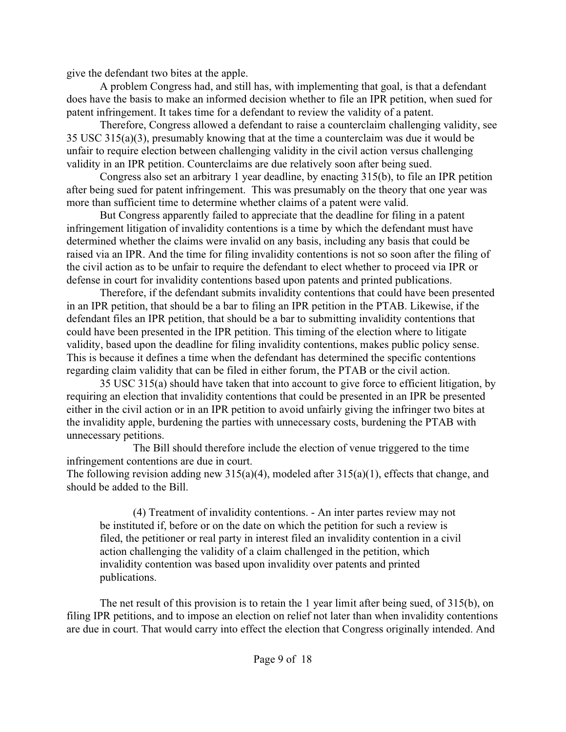give the defendant two bites at the apple.

A problem Congress had, and still has, with implementing that goal, is that a defendant does have the basis to make an informed decision whether to file an IPR petition, when sued for patent infringement. It takes time for a defendant to review the validity of a patent.

Therefore, Congress allowed a defendant to raise a counterclaim challenging validity, see 35 USC 315(a)(3), presumably knowing that at the time a counterclaim was due it would be unfair to require election between challenging validity in the civil action versus challenging validity in an IPR petition. Counterclaims are due relatively soon after being sued.

Congress also set an arbitrary 1 year deadline, by enacting 315(b), to file an IPR petition after being sued for patent infringement. This was presumably on the theory that one year was more than sufficient time to determine whether claims of a patent were valid.

But Congress apparently failed to appreciate that the deadline for filing in a patent infringement litigation of invalidity contentions is a time by which the defendant must have determined whether the claims were invalid on any basis, including any basis that could be raised via an IPR. And the time for filing invalidity contentions is not so soon after the filing of the civil action as to be unfair to require the defendant to elect whether to proceed via IPR or defense in court for invalidity contentions based upon patents and printed publications.

Therefore, if the defendant submits invalidity contentions that could have been presented in an IPR petition, that should be a bar to filing an IPR petition in the PTAB. Likewise, if the defendant files an IPR petition, that should be a bar to submitting invalidity contentions that could have been presented in the IPR petition. This timing of the election where to litigate validity, based upon the deadline for filing invalidity contentions, makes public policy sense. This is because it defines a time when the defendant has determined the specific contentions regarding claim validity that can be filed in either forum, the PTAB or the civil action.

35 USC 315(a) should have taken that into account to give force to efficient litigation, by requiring an election that invalidity contentions that could be presented in an IPR be presented either in the civil action or in an IPR petition to avoid unfairly giving the infringer two bites at the invalidity apple, burdening the parties with unnecessary costs, burdening the PTAB with unnecessary petitions.

The Bill should therefore include the election of venue triggered to the time infringement contentions are due in court.

The following revision adding new  $315(a)(4)$ , modeled after  $315(a)(1)$ , effects that change, and should be added to the Bill.

(4) Treatment of invalidity contentions. - An inter partes review may not be instituted if, before or on the date on which the petition for such a review is filed, the petitioner or real party in interest filed an invalidity contention in a civil action challenging the validity of a claim challenged in the petition, which invalidity contention was based upon invalidity over patents and printed publications.

The net result of this provision is to retain the 1 year limit after being sued, of 315(b), on filing IPR petitions, and to impose an election on relief not later than when invalidity contentions are due in court. That would carry into effect the election that Congress originally intended. And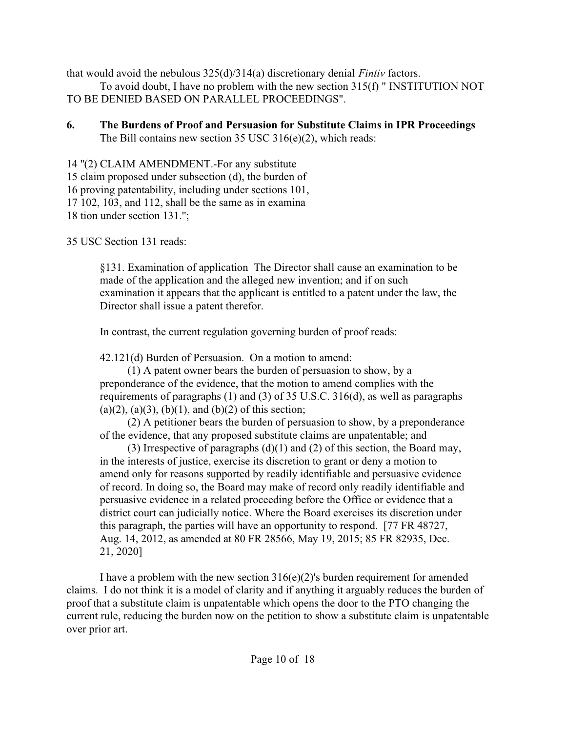that would avoid the nebulous 325(d)/314(a) discretionary denial *Fintiv* factors.

To avoid doubt, I have no problem with the new section 315(f) " INSTITUTION NOT TO BE DENIED BASED ON PARALLEL PROCEEDINGS".

<span id="page-9-0"></span>**6. The Burdens of Proof and Persuasion for Substitute Claims in IPR Proceedings** The Bill contains new section 35 USC 316(e)(2), which reads:

14 ''(2) CLAIM AMENDMENT.-For any substitute 15 claim proposed under subsection (d), the burden of 16 proving patentability, including under sections 101, 17 102, 103, and 112, shall be the same as in examina 18 tion under section 131.'';

35 USC Section 131 reads:

§131. Examination of application The Director shall cause an examination to be made of the application and the alleged new invention; and if on such examination it appears that the applicant is entitled to a patent under the law, the Director shall issue a patent therefor.

In contrast, the current regulation governing burden of proof reads:

42.121(d) Burden of Persuasion. On a motion to amend:

 (1) A patent owner bears the burden of persuasion to show, by a preponderance of the evidence, that the motion to amend complies with the requirements of paragraphs (1) and (3) of 35 U.S.C. 316(d), as well as paragraphs  $(a)(2)$ ,  $(a)(3)$ ,  $(b)(1)$ , and  $(b)(2)$  of this section;

 (2) A petitioner bears the burden of persuasion to show, by a preponderance of the evidence, that any proposed substitute claims are unpatentable; and

 (3) Irrespective of paragraphs (d)(1) and (2) of this section, the Board may, in the interests of justice, exercise its discretion to grant or deny a motion to amend only for reasons supported by readily identifiable and persuasive evidence of record. In doing so, the Board may make of record only readily identifiable and persuasive evidence in a related proceeding before the Office or evidence that a district court can judicially notice. Where the Board exercises its discretion under this paragraph, the parties will have an opportunity to respond. [77 FR 48727, Aug. 14, 2012, as amended at 80 FR 28566, May 19, 2015; 85 FR 82935, Dec. 21, 2020]

I have a problem with the new section  $316(e)(2)$ 's burden requirement for amended claims. I do not think it is a model of clarity and if anything it arguably reduces the burden of proof that a substitute claim is unpatentable which opens the door to the PTO changing the current rule, reducing the burden now on the petition to show a substitute claim is unpatentable over prior art.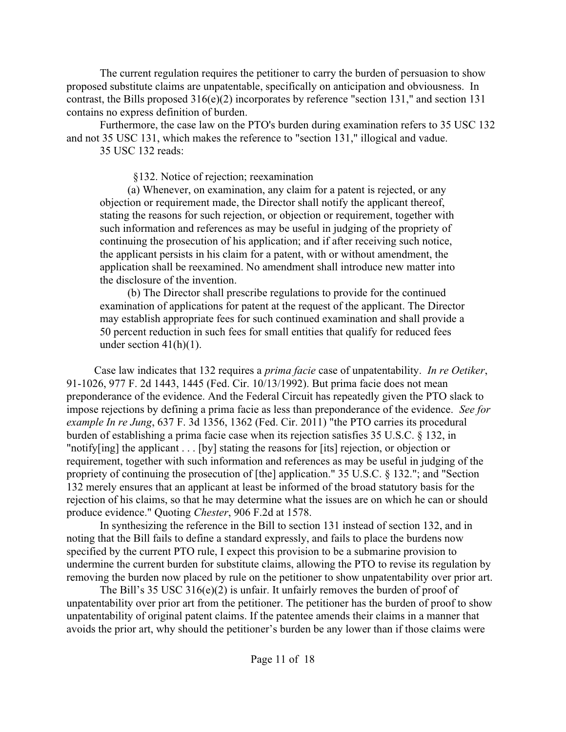The current regulation requires the petitioner to carry the burden of persuasion to show proposed substitute claims are unpatentable, specifically on anticipation and obviousness. In contrast, the Bills proposed  $316(e)(2)$  incorporates by reference "section 131," and section 131 contains no express definition of burden.

Furthermore, the case law on the PTO's burden during examination refers to 35 USC 132 and not 35 USC 131, which makes the reference to "section 131," illogical and vadue.

35 USC 132 reads:

§132. Notice of rejection; reexamination

 (a) Whenever, on examination, any claim for a patent is rejected, or any objection or requirement made, the Director shall notify the applicant thereof, stating the reasons for such rejection, or objection or requirement, together with such information and references as may be useful in judging of the propriety of continuing the prosecution of his application; and if after receiving such notice, the applicant persists in his claim for a patent, with or without amendment, the application shall be reexamined. No amendment shall introduce new matter into the disclosure of the invention.

 (b) The Director shall prescribe regulations to provide for the continued examination of applications for patent at the request of the applicant. The Director may establish appropriate fees for such continued examination and shall provide a 50 percent reduction in such fees for small entities that qualify for reduced fees under section  $41(h)(1)$ .

 Case law indicates that 132 requires a *prima facie* case of unpatentability. *In re Oetiker*, 91-1026, 977 F. 2d 1443, 1445 (Fed. Cir. 10/13/1992). But prima facie does not mean preponderance of the evidence. And the Federal Circuit has repeatedly given the PTO slack to impose rejections by defining a prima facie as less than preponderance of the evidence. *See for example In re Jung*, 637 F. 3d 1356, 1362 (Fed. Cir. 2011) "the PTO carries its procedural burden of establishing a prima facie case when its rejection satisfies 35 U.S.C. § 132, in "notify[ing] the applicant . . . [by] stating the reasons for [its] rejection, or objection or requirement, together with such information and references as may be useful in judging of the propriety of continuing the prosecution of [the] application." 35 U.S.C. § 132."; and "Section 132 merely ensures that an applicant at least be informed of the broad statutory basis for the rejection of his claims, so that he may determine what the issues are on which he can or should produce evidence." Quoting *Chester*, 906 F.2d at 1578.

 In synthesizing the reference in the Bill to section 131 instead of section 132, and in noting that the Bill fails to define a standard expressly, and fails to place the burdens now specified by the current PTO rule, I expect this provision to be a submarine provision to undermine the current burden for substitute claims, allowing the PTO to revise its regulation by removing the burden now placed by rule on the petitioner to show unpatentability over prior art.

The Bill's 35 USC 316(e)(2) is unfair. It unfairly removes the burden of proof of unpatentability over prior art from the petitioner. The petitioner has the burden of proof to show unpatentability of original patent claims. If the patentee amends their claims in a manner that avoids the prior art, why should the petitioner's burden be any lower than if those claims were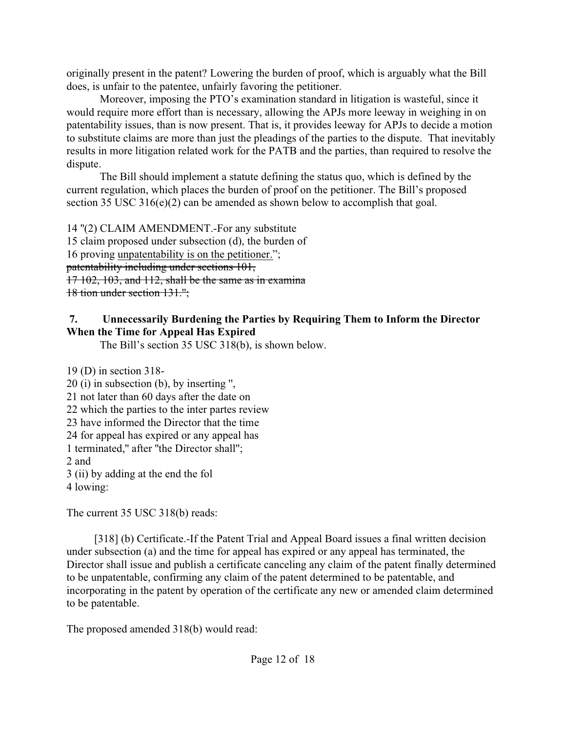originally present in the patent? Lowering the burden of proof, which is arguably what the Bill does, is unfair to the patentee, unfairly favoring the petitioner.

Moreover, imposing the PTO's examination standard in litigation is wasteful, since it would require more effort than is necessary, allowing the APJs more leeway in weighing in on patentability issues, than is now present. That is, it provides leeway for APJs to decide a motion to substitute claims are more than just the pleadings of the parties to the dispute. That inevitably results in more litigation related work for the PATB and the parties, than required to resolve the dispute.

The Bill should implement a statute defining the status quo, which is defined by the current regulation, which places the burden of proof on the petitioner. The Bill's proposed section 35 USC 316(e)(2) can be amended as shown below to accomplish that goal.

14 ''(2) CLAIM AMENDMENT.-For any substitute 15 claim proposed under subsection (d), the burden of 16 proving unpatentability is on the petitioner."; patentability including under sections 101, 17 102, 103, and 112, shall be the same as in examina 18 tion under section 131.'';

# <span id="page-11-0"></span>**7. Unnecessarily Burdening the Parties by Requiring Them to Inform the Director When the Time for Appeal Has Expired**

The Bill's section 35 USC 318(b), is shown below.

19 (D) in section 318- 20 (i) in subsection (b), by inserting '', 21 not later than 60 days after the date on 22 which the parties to the inter partes review 23 have informed the Director that the time 24 for appeal has expired or any appeal has 1 terminated,'' after ''the Director shall''; 2 and 3 (ii) by adding at the end the fol

4 lowing:

The current 35 USC 318(b) reads:

[318] (b) Certificate. If the Patent Trial and Appeal Board issues a final written decision under subsection (a) and the time for appeal has expired or any appeal has terminated, the Director shall issue and publish a certificate canceling any claim of the patent finally determined to be unpatentable, confirming any claim of the patent determined to be patentable, and incorporating in the patent by operation of the certificate any new or amended claim determined to be patentable.

The proposed amended 318(b) would read: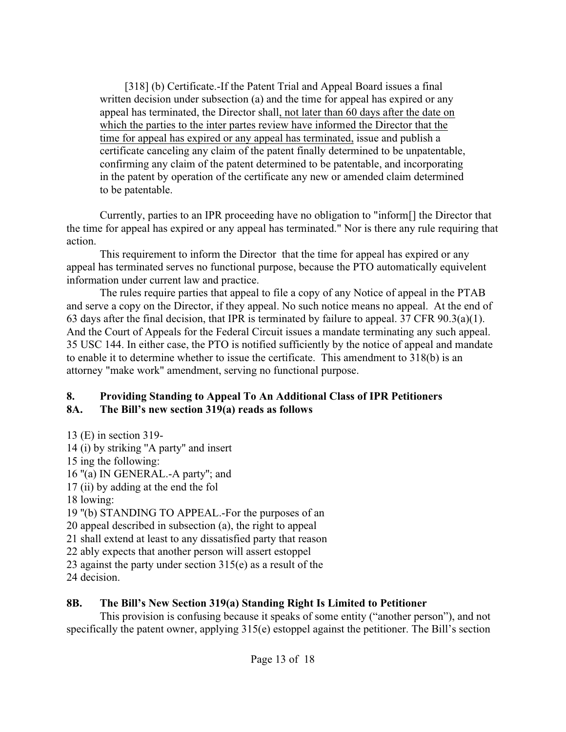[318] (b) Certificate.-If the Patent Trial and Appeal Board issues a final written decision under subsection (a) and the time for appeal has expired or any appeal has terminated, the Director shall, not later than 60 days after the date on which the parties to the inter partes review have informed the Director that the time for appeal has expired or any appeal has terminated, issue and publish a certificate canceling any claim of the patent finally determined to be unpatentable, confirming any claim of the patent determined to be patentable, and incorporating in the patent by operation of the certificate any new or amended claim determined to be patentable.

Currently, parties to an IPR proceeding have no obligation to "inform[] the Director that the time for appeal has expired or any appeal has terminated." Nor is there any rule requiring that action.

This requirement to inform the Director that the time for appeal has expired or any appeal has terminated serves no functional purpose, because the PTO automatically equivelent information under current law and practice.

The rules require parties that appeal to file a copy of any Notice of appeal in the PTAB and serve a copy on the Director, if they appeal. No such notice means no appeal. At the end of 63 days after the final decision, that IPR is terminated by failure to appeal. 37 CFR 90.3(a)(1). And the Court of Appeals for the Federal Circuit issues a mandate terminating any such appeal. 35 USC 144. In either case, the PTO is notified sufficiently by the notice of appeal and mandate to enable it to determine whether to issue the certificate. This amendment to 318(b) is an attorney "make work" amendment, serving no functional purpose.

#### <span id="page-12-1"></span><span id="page-12-0"></span>**8. Providing Standing to Appeal To An Additional Class of IPR Petitioners 8A. The Bill's new section 319(a) reads as follows**

13 (E) in section 319- 14 (i) by striking ''A party'' and insert 15 ing the following: 16 ''(a) IN GENERAL.-A party''; and 17 (ii) by adding at the end the fol 18 lowing: 19 ''(b) STANDING TO APPEAL.-For the purposes of an 20 appeal described in subsection (a), the right to appeal 21 shall extend at least to any dissatisfied party that reason 22 ably expects that another person will assert estoppel 23 against the party under section 315(e) as a result of the 24 decision.

## <span id="page-12-2"></span>**8B. The Bill's New Section 319(a) Standing Right Is Limited to Petitioner**

This provision is confusing because it speaks of some entity ("another person"), and not specifically the patent owner, applying 315(e) estoppel against the petitioner. The Bill's section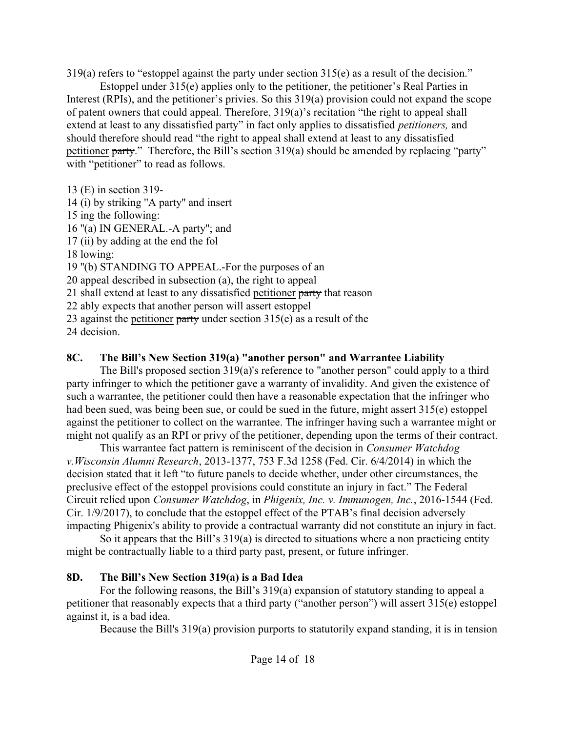319(a) refers to "estoppel against the party under section 315(e) as a result of the decision."

Estoppel under 315(e) applies only to the petitioner, the petitioner's Real Parties in Interest (RPIs), and the petitioner's privies. So this 319(a) provision could not expand the scope of patent owners that could appeal. Therefore, 319(a)'s recitation "the right to appeal shall extend at least to any dissatisfied party" in fact only applies to dissatisfied *petitioners,* and should therefore should read "the right to appeal shall extend at least to any dissatisfied petitioner party." Therefore, the Bill's section 319(a) should be amended by replacing "party" with "petitioner" to read as follows.

13 (E) in section 319-

14 (i) by striking ''A party'' and insert

15 ing the following:

16 ''(a) IN GENERAL.-A party''; and

17 (ii) by adding at the end the fol

18 lowing:

19 ''(b) STANDING TO APPEAL.-For the purposes of an

20 appeal described in subsection (a), the right to appeal

21 shall extend at least to any dissatisfied petitioner party that reason

22 ably expects that another person will assert estoppel

23 against the petitioner party under section  $315(e)$  as a result of the

24 decision.

## <span id="page-13-0"></span>**8C. The Bill's New Section 319(a) "another person" and Warrantee Liability**

 The Bill's proposed section 319(a)'s reference to "another person" could apply to a third party infringer to which the petitioner gave a warranty of invalidity. And given the existence of such a warrantee, the petitioner could then have a reasonable expectation that the infringer who had been sued, was being been sue, or could be sued in the future, might assert 315(e) estoppel against the petitioner to collect on the warrantee. The infringer having such a warrantee might or might not qualify as an RPI or privy of the petitioner, depending upon the terms of their contract.

This warrantee fact pattern is reminiscent of the decision in *Consumer Watchdog v.Wisconsin Alumni Research*, 2013-1377, 753 F.3d 1258 (Fed. Cir. 6/4/2014) in which the decision stated that it left "to future panels to decide whether, under other circumstances, the preclusive effect of the estoppel provisions could constitute an injury in fact." The Federal Circuit relied upon *Consumer Watchdog*, in *Phigenix, Inc. v. Immunogen, Inc.*, 2016-1544 (Fed. Cir. 1/9/2017), to conclude that the estoppel effect of the PTAB's final decision adversely impacting Phigenix's ability to provide a contractual warranty did not constitute an injury in fact.

So it appears that the Bill's 319(a) is directed to situations where a non practicing entity might be contractually liable to a third party past, present, or future infringer.

## <span id="page-13-1"></span>**8D. The Bill's New Section 319(a) is a Bad Idea**

For the following reasons, the Bill's 319(a) expansion of statutory standing to appeal a petitioner that reasonably expects that a third party ("another person") will assert 315(e) estoppel against it, is a bad idea.

Because the Bill's 319(a) provision purports to statutorily expand standing, it is in tension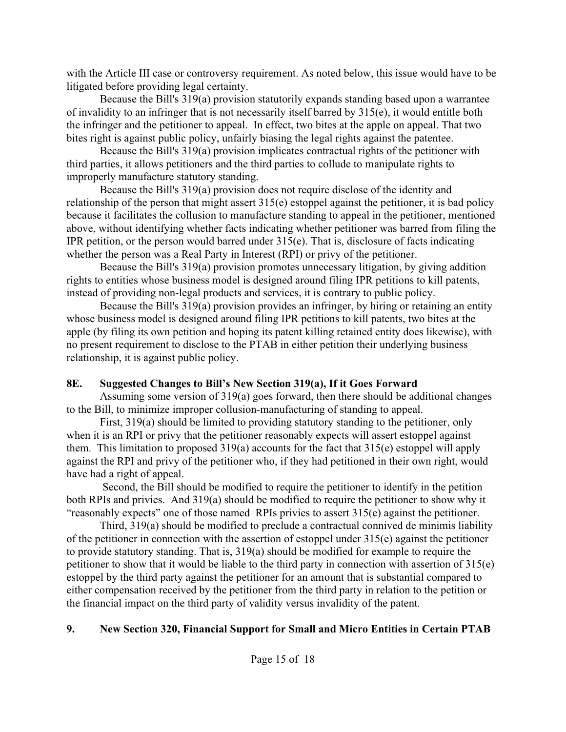with the Article III case or controversy requirement. As noted below, this issue would have to be litigated before providing legal certainty.

Because the Bill's 319(a) provision statutorily expands standing based upon a warrantee of invalidity to an infringer that is not necessarily itself barred by 315(e), it would entitle both the infringer and the petitioner to appeal. In effect, two bites at the apple on appeal. That two bites right is against public policy, unfairly biasing the legal rights against the patentee.

 Because the Bill's 319(a) provision implicates contractual rights of the petitioner with third parties, it allows petitioners and the third parties to collude to manipulate rights to improperly manufacture statutory standing.

 Because the Bill's 319(a) provision does not require disclose of the identity and relationship of the person that might assert 315(e) estoppel against the petitioner, it is bad policy because it facilitates the collusion to manufacture standing to appeal in the petitioner, mentioned above, without identifying whether facts indicating whether petitioner was barred from filing the IPR petition, or the person would barred under  $315(e)$ . That is, disclosure of facts indicating whether the person was a Real Party in Interest (RPI) or privy of the petitioner.

 Because the Bill's 319(a) provision promotes unnecessary litigation, by giving addition rights to entities whose business model is designed around filing IPR petitions to kill patents, instead of providing non-legal products and services, it is contrary to public policy.

 Because the Bill's 319(a) provision provides an infringer, by hiring or retaining an entity whose business model is designed around filing IPR petitions to kill patents, two bites at the apple (by filing its own petition and hoping its patent killing retained entity does likewise), with no present requirement to disclose to the PTAB in either petition their underlying business relationship, it is against public policy.

## <span id="page-14-0"></span>**8E. Suggested Changes to Bill's New Section 319(a), If it Goes Forward**

Assuming some version of 319(a) goes forward, then there should be additional changes to the Bill, to minimize improper collusion-manufacturing of standing to appeal.

 First, 319(a) should be limited to providing statutory standing to the petitioner, only when it is an RPI or privy that the petitioner reasonably expects will assert estoppel against them. This limitation to proposed 319(a) accounts for the fact that 315(e) estoppel will apply against the RPI and privy of the petitioner who, if they had petitioned in their own right, would have had a right of appeal.

 Second, the Bill should be modified to require the petitioner to identify in the petition both RPIs and privies. And 319(a) should be modified to require the petitioner to show why it "reasonably expects" one of those named RPIs privies to assert 315(e) against the petitioner.

Third, 319(a) should be modified to preclude a contractual connived de minimis liability of the petitioner in connection with the assertion of estoppel under 315(e) against the petitioner to provide statutory standing. That is, 319(a) should be modified for example to require the petitioner to show that it would be liable to the third party in connection with assertion of 315(e) estoppel by the third party against the petitioner for an amount that is substantial compared to either compensation received by the petitioner from the third party in relation to the petition or the financial impact on the third party of validity versus invalidity of the patent.

# <span id="page-14-1"></span>**9. New Section 320, Financial Support for Small and Micro Entities in Certain PTAB**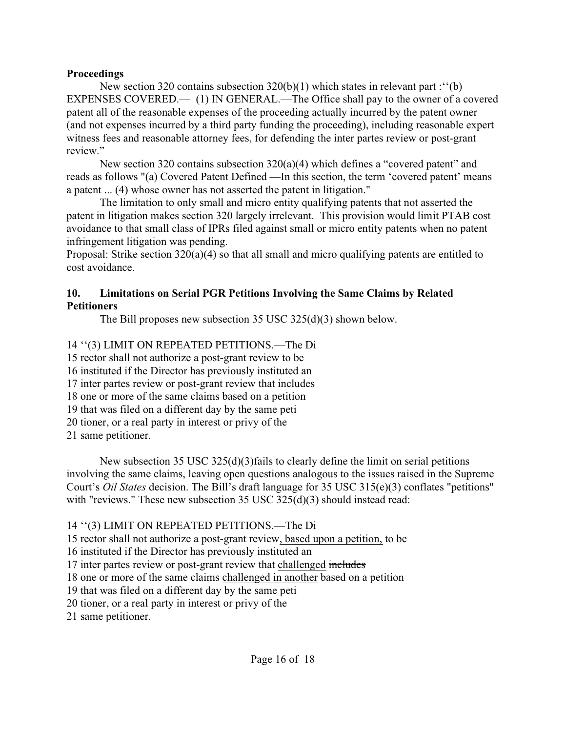#### **Proceedings**

New section 320 contains subsection 320(b)(1) which states in relevant part : "(b) EXPENSES COVERED.— (1) IN GENERAL.—The Office shall pay to the owner of a covered patent all of the reasonable expenses of the proceeding actually incurred by the patent owner (and not expenses incurred by a third party funding the proceeding), including reasonable expert witness fees and reasonable attorney fees, for defending the inter partes review or post-grant review."

New section 320 contains subsection 320(a)(4) which defines a "covered patent" and reads as follows "(a) Covered Patent Defined —In this section, the term 'covered patent' means a patent ... (4) whose owner has not asserted the patent in litigation."

The limitation to only small and micro entity qualifying patents that not asserted the patent in litigation makes section 320 largely irrelevant. This provision would limit PTAB cost avoidance to that small class of IPRs filed against small or micro entity patents when no patent infringement litigation was pending.

Proposal: Strike section 320(a)(4) so that all small and micro qualifying patents are entitled to cost avoidance.

#### <span id="page-15-0"></span>**10. Limitations on Serial PGR Petitions Involving the Same Claims by Related Petitioners**

The Bill proposes new subsection 35 USC 325(d)(3) shown below.

14 ''(3) LIMIT ON REPEATED PETITIONS.—The Di

15 rector shall not authorize a post-grant review to be

16 instituted if the Director has previously instituted an

17 inter partes review or post-grant review that includes

18 one or more of the same claims based on a petition

19 that was filed on a different day by the same peti

20 tioner, or a real party in interest or privy of the

21 same petitioner.

New subsection 35 USC 325(d)(3)fails to clearly define the limit on serial petitions involving the same claims, leaving open questions analogous to the issues raised in the Supreme Court's *Oil States* decision. The Bill's draft language for 35 USC 315(e)(3) conflates "petitions" with "reviews." These new subsection 35 USC 325(d)(3) should instead read:

14 ''(3) LIMIT ON REPEATED PETITIONS.—The Di

15 rector shall not authorize a post-grant review, based upon a petition, to be

16 instituted if the Director has previously instituted an

17 inter partes review or post-grant review that challenged includes

18 one or more of the same claims challenged in another based on a petition

19 that was filed on a different day by the same peti

20 tioner, or a real party in interest or privy of the

21 same petitioner.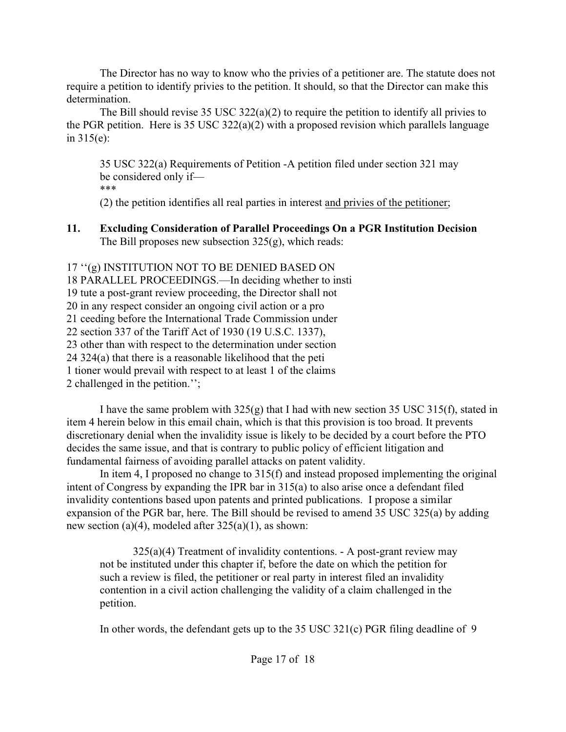The Director has no way to know who the privies of a petitioner are. The statute does not require a petition to identify privies to the petition. It should, so that the Director can make this determination.

The Bill should revise 35 USC 322(a)(2) to require the petition to identify all privies to the PGR petition. Here is 35 USC 322(a)(2) with a proposed revision which parallels language in 315(e):

35 USC 322(a) Requirements of Petition -A petition filed under section 321 may be considered only if— \*\*\*

(2) the petition identifies all real parties in interest and privies of the petitioner;

<span id="page-16-0"></span>**11. Excluding Consideration of Parallel Proceedings On a PGR Institution Decision** The Bill proposes new subsection  $325(g)$ , which reads:

17 ''(g) INSTITUTION NOT TO BE DENIED BASED ON 18 PARALLEL PROCEEDINGS.—In deciding whether to insti 19 tute a post-grant review proceeding, the Director shall not 20 in any respect consider an ongoing civil action or a pro 21 ceeding before the International Trade Commission under 22 section 337 of the Tariff Act of 1930 (19 U.S.C. 1337), 23 other than with respect to the determination under section 24 324(a) that there is a reasonable likelihood that the peti 1 tioner would prevail with respect to at least 1 of the claims 2 challenged in the petition.'';

I have the same problem with 325(g) that I had with new section 35 USC 315(f), stated in item 4 herein below in this email chain, which is that this provision is too broad. It prevents discretionary denial when the invalidity issue is likely to be decided by a court before the PTO decides the same issue, and that is contrary to public policy of efficient litigation and fundamental fairness of avoiding parallel attacks on patent validity.

In item 4, I proposed no change to 315(f) and instead proposed implementing the original intent of Congress by expanding the IPR bar in 315(a) to also arise once a defendant filed invalidity contentions based upon patents and printed publications. I propose a similar expansion of the PGR bar, here. The Bill should be revised to amend 35 USC 325(a) by adding new section (a)(4), modeled after 325(a)(1), as shown:

325(a)(4) Treatment of invalidity contentions. - A post-grant review may not be instituted under this chapter if, before the date on which the petition for such a review is filed, the petitioner or real party in interest filed an invalidity contention in a civil action challenging the validity of a claim challenged in the petition.

In other words, the defendant gets up to the 35 USC 321(c) PGR filing deadline of 9